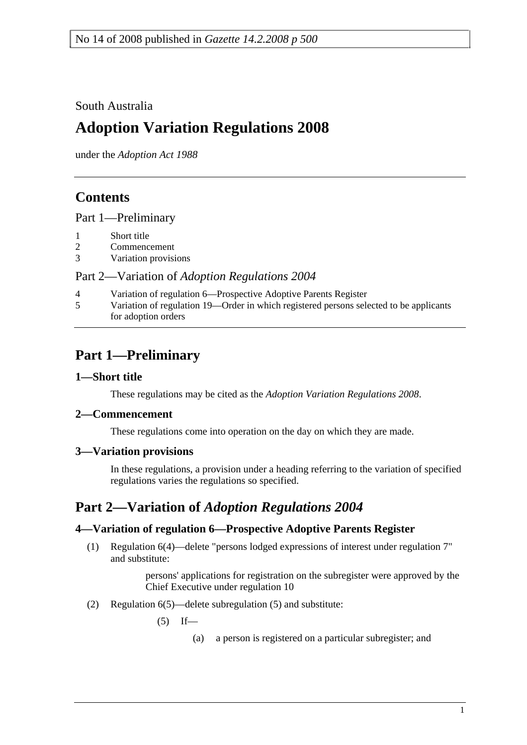South Australia

# **Adoption Variation Regulations 2008**

under the *Adoption Act 1988*

## **Contents**

Part 1—Preliminary

- 1 Short title
- 2 Commencement
- 3 Variation provisions

Part 2—Variation of *Adoption Regulations 2004*

4 Variation of regulation 6—Prospective Adoptive Parents Register 5 Variation of regulation 19—Order in which registered persons selected to be applicants for adoption orders

## **Part 1—Preliminary**

#### **1—Short title**

These regulations may be cited as the *Adoption Variation Regulations 2008*.

#### **2—Commencement**

These regulations come into operation on the day on which they are made.

#### **3—Variation provisions**

In these regulations, a provision under a heading referring to the variation of specified regulations varies the regulations so specified.

### **Part 2—Variation of** *Adoption Regulations 2004*

#### **4—Variation of regulation 6—Prospective Adoptive Parents Register**

 (1) Regulation 6(4)—delete "persons lodged expressions of interest under regulation 7" and substitute:

> persons' applications for registration on the subregister were approved by the Chief Executive under regulation 10

(2) Regulation 6(5)—delete subregulation (5) and substitute:

 $(5)$  If—

(a) a person is registered on a particular subregister; and